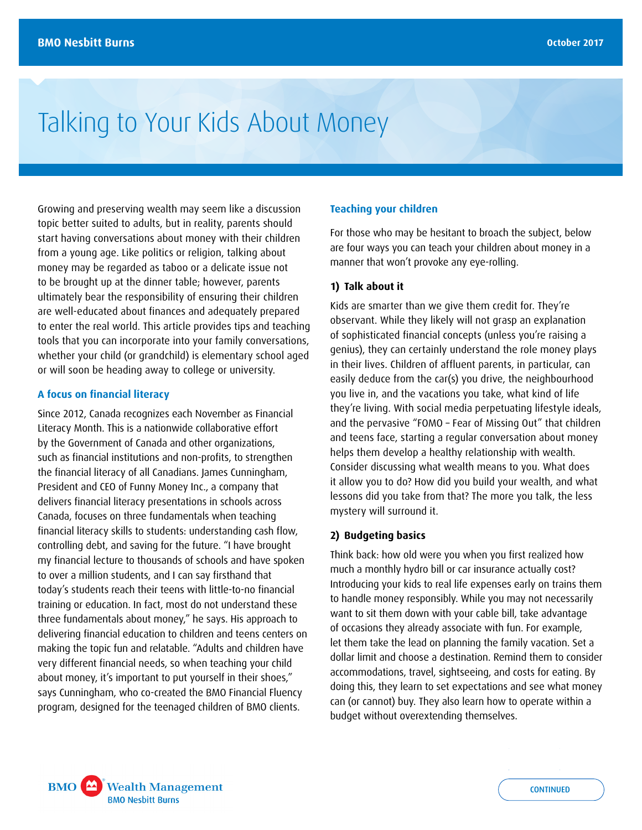# Talking to Your Kids About Money

Growing and preserving wealth may seem like a discussion topic better suited to adults, but in reality, parents should start having conversations about money with their children from a young age. Like politics or religion, talking about money may be regarded as taboo or a delicate issue not to be brought up at the dinner table; however, parents ultimately bear the responsibility of ensuring their children are well-educated about finances and adequately prepared to enter the real world. This article provides tips and teaching tools that you can incorporate into your family conversations, whether your child (or grandchild) is elementary school aged or will soon be heading away to college or university.

#### **A focus on financial literacy**

Since 2012, Canada recognizes each November as Financial Literacy Month. This is a nationwide collaborative effort by the Government of Canada and other organizations, such as financial institutions and non-profits, to strengthen the financial literacy of all Canadians. James Cunningham, President and CEO of Funny Money Inc., a company that delivers financial literacy presentations in schools across Canada, focuses on three fundamentals when teaching financial literacy skills to students: understanding cash flow, controlling debt, and saving for the future. "I have brought my financial lecture to thousands of schools and have spoken to over a million students, and I can say firsthand that today's students reach their teens with little-to-no financial training or education. In fact, most do not understand these three fundamentals about money," he says. His approach to delivering financial education to children and teens centers on making the topic fun and relatable. "Adults and children have very different financial needs, so when teaching your child about money, it's important to put yourself in their shoes," says Cunningham, who co-created the BMO Financial Fluency program, designed for the teenaged children of BMO clients.

## **Teaching your children**

For those who may be hesitant to broach the subject, below are four ways you can teach your children about money in a manner that won't provoke any eye-rolling.

#### **1) Talk about it**

Kids are smarter than we give them credit for. They're observant. While they likely will not grasp an explanation of sophisticated financial concepts (unless you're raising a genius), they can certainly understand the role money plays in their lives. Children of affluent parents, in particular, can easily deduce from the car(s) you drive, the neighbourhood you live in, and the vacations you take, what kind of life they're living. With social media perpetuating lifestyle ideals, and the pervasive "FOMO – Fear of Missing Out" that children and teens face, starting a regular conversation about money helps them develop a healthy relationship with wealth. Consider discussing what wealth means to you. What does it allow you to do? How did you build your wealth, and what lessons did you take from that? The more you talk, the less mystery will surround it.

### **2) Budgeting basics**

Think back: how old were you when you first realized how much a monthly hydro bill or car insurance actually cost? Introducing your kids to real life expenses early on trains them to handle money responsibly. While you may not necessarily want to sit them down with your cable bill, take advantage of occasions they already associate with fun. For example, let them take the lead on planning the family vacation. Set a dollar limit and choose a destination. Remind them to consider accommodations, travel, sightseeing, and costs for eating. By doing this, they learn to set expectations and see what money can (or cannot) buy. They also learn how to operate within a budget without overextending themselves.